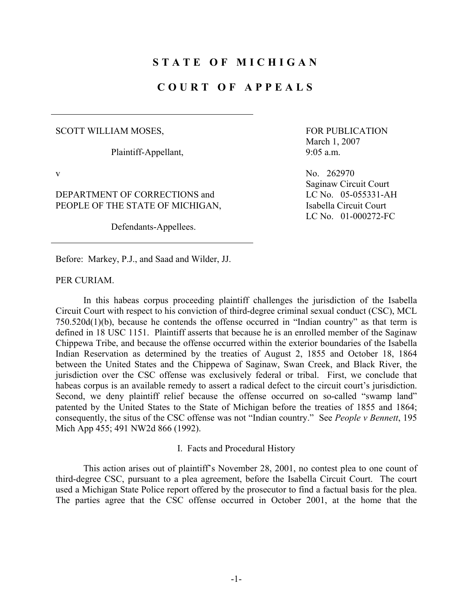## **STATE OF MICHIGAN**

# **COURT OF APPEALS**

#### SCOTT WILLIAM MOSES,

Plaintiff-Appellant,

DEPARTMENT OF CORRECTIONS and PEOPLE OF THE STATE OF MICHIGAN,

Defendants-Appellees.

 FOR PUBLICATION March 1, 2007 9:05 a.m.

v No. 262970 Saginaw Circuit Court LC No. 05-055331-AH Isabella Circuit Court LC No. 01-000272-FC

Before: Markey, P.J., and Saad and Wilder, JJ.

PER CURIAM.

 In this habeas corpus proceeding plaintiff challenges the jurisdiction of the Isabella Circuit Court with respect to his conviction of third-degree criminal sexual conduct (CSC), MCL 750.520d(1)(b), because he contends the offense occurred in "Indian country" as that term is defined in 18 USC 1151. Plaintiff asserts that because he is an enrolled member of the Saginaw Chippewa Tribe, and because the offense occurred within the exterior boundaries of the Isabella Indian Reservation as determined by the treaties of August 2, 1855 and October 18, 1864 between the United States and the Chippewa of Saginaw, Swan Creek, and Black River, the jurisdiction over the CSC offense was exclusively federal or tribal. First, we conclude that habeas corpus is an available remedy to assert a radical defect to the circuit court's jurisdiction. Second, we deny plaintiff relief because the offense occurred on so-called "swamp land" patented by the United States to the State of Michigan before the treaties of 1855 and 1864; consequently, the situs of the CSC offense was not "Indian country." See *People v Bennett*, 195 Mich App 455; 491 NW2d 866 (1992).

I. Facts and Procedural History

 This action arises out of plaintiff's November 28, 2001, no contest plea to one count of third-degree CSC, pursuant to a plea agreement, before the Isabella Circuit Court. The court used a Michigan State Police report offered by the prosecutor to find a factual basis for the plea. The parties agree that the CSC offense occurred in October 2001, at the home that the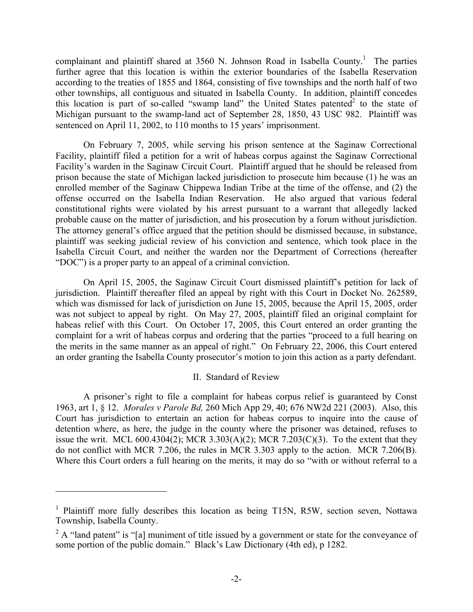complainant and plaintiff shared at 3560 N. Johnson Road in Isabella County.<sup>1</sup> The parties further agree that this location is within the exterior boundaries of the Isabella Reservation according to the treaties of 1855 and 1864, consisting of five townships and the north half of two other townships, all contiguous and situated in Isabella County. In addition, plaintiff concedes this location is part of so-called "swamp land" the United States patented $2$  to the state of Michigan pursuant to the swamp-land act of September 28, 1850, 43 USC 982. Plaintiff was sentenced on April 11, 2002, to 110 months to 15 years' imprisonment.

 On February 7, 2005, while serving his prison sentence at the Saginaw Correctional Facility, plaintiff filed a petition for a writ of habeas corpus against the Saginaw Correctional Facility's warden in the Saginaw Circuit Court. Plaintiff argued that he should be released from prison because the state of Michigan lacked jurisdiction to prosecute him because (1) he was an enrolled member of the Saginaw Chippewa Indian Tribe at the time of the offense, and (2) the offense occurred on the Isabella Indian Reservation. He also argued that various federal constitutional rights were violated by his arrest pursuant to a warrant that allegedly lacked probable cause on the matter of jurisdiction, and his prosecution by a forum without jurisdiction. The attorney general's office argued that the petition should be dismissed because, in substance, plaintiff was seeking judicial review of his conviction and sentence, which took place in the Isabella Circuit Court, and neither the warden nor the Department of Corrections (hereafter "DOC") is a proper party to an appeal of a criminal conviction.

 On April 15, 2005, the Saginaw Circuit Court dismissed plaintiff's petition for lack of jurisdiction. Plaintiff thereafter filed an appeal by right with this Court in Docket No. 262589, which was dismissed for lack of jurisdiction on June 15, 2005, because the April 15, 2005, order was not subject to appeal by right. On May 27, 2005, plaintiff filed an original complaint for habeas relief with this Court. On October 17, 2005, this Court entered an order granting the complaint for a writ of habeas corpus and ordering that the parties "proceed to a full hearing on the merits in the same manner as an appeal of right." On February 22, 2006, this Court entered an order granting the Isabella County prosecutor's motion to join this action as a party defendant.

### II. Standard of Review

 A prisoner's right to file a complaint for habeas corpus relief is guaranteed by Const 1963, art 1, § 12. *Morales v Parole Bd,* 260 Mich App 29, 40; 676 NW2d 221 (2003). Also, this Court has jurisdiction to entertain an action for habeas corpus to inquire into the cause of detention where, as here, the judge in the county where the prisoner was detained, refuses to issue the writ. MCL 600.4304(2); MCR 3.303(A)(2); MCR 7.203(C)(3). To the extent that they do not conflict with MCR 7.206, the rules in MCR 3.303 apply to the action. MCR 7.206(B). Where this Court orders a full hearing on the merits, it may do so "with or without referral to a

 $\overline{a}$ 

<sup>&</sup>lt;sup>1</sup> Plaintiff more fully describes this location as being T15N, R5W, section seven, Nottawa Township, Isabella County.

<sup>&</sup>lt;sup>2</sup> A "land patent" is "[a] muniment of title issued by a government or state for the conveyance of some portion of the public domain." Black's Law Dictionary (4th ed), p 1282.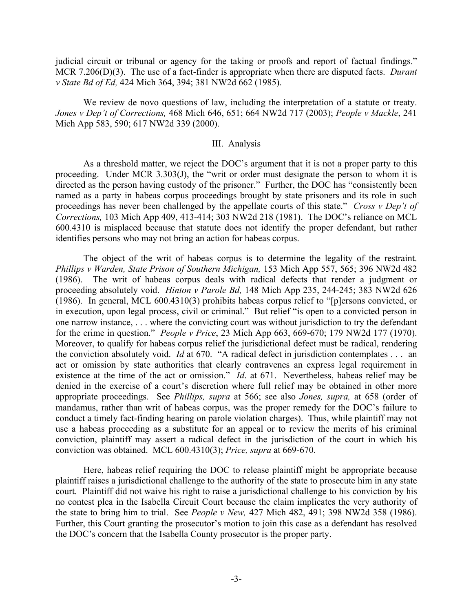judicial circuit or tribunal or agency for the taking or proofs and report of factual findings." MCR 7.206(D)(3). The use of a fact-finder is appropriate when there are disputed facts. *Durant v State Bd of Ed,* 424 Mich 364, 394; 381 NW2d 662 (1985).

 We review de novo questions of law, including the interpretation of a statute or treaty. *Jones v Dep't of Corrections,* 468 Mich 646, 651; 664 NW2d 717 (2003); *People v Mackle*, 241 Mich App 583, 590; 617 NW2d 339 (2000).

### III. Analysis

 As a threshold matter, we reject the DOC's argument that it is not a proper party to this proceeding. Under MCR 3.303(J), the "writ or order must designate the person to whom it is directed as the person having custody of the prisoner." Further, the DOC has "consistently been named as a party in habeas corpus proceedings brought by state prisoners and its role in such proceedings has never been challenged by the appellate courts of this state." *Cross v Dep't of Corrections,* 103 Mich App 409, 413-414; 303 NW2d 218 (1981). The DOC's reliance on MCL 600.4310 is misplaced because that statute does not identify the proper defendant, but rather identifies persons who may not bring an action for habeas corpus.

 The object of the writ of habeas corpus is to determine the legality of the restraint. *Phillips v Warden, State Prison of Southern Michigan,* 153 Mich App 557, 565; 396 NW2d 482 (1986). The writ of habeas corpus deals with radical defects that render a judgment or proceeding absolutely void. *Hinton v Parole Bd,* 148 Mich App 235, 244-245; 383 NW2d 626 (1986). In general, MCL 600.4310(3) prohibits habeas corpus relief to "[p]ersons convicted, or in execution, upon legal process, civil or criminal." But relief "is open to a convicted person in one narrow instance, . . . where the convicting court was without jurisdiction to try the defendant for the crime in question." *People v Price*, 23 Mich App 663, 669-670; 179 NW2d 177 (1970). Moreover, to qualify for habeas corpus relief the jurisdictional defect must be radical, rendering the conviction absolutely void. *Id* at 670. "A radical defect in jurisdiction contemplates . . . an act or omission by state authorities that clearly contravenes an express legal requirement in existence at the time of the act or omission." *Id*. at 671. Nevertheless, habeas relief may be denied in the exercise of a court's discretion where full relief may be obtained in other more appropriate proceedings. See *Phillips, supra* at 566; see also *Jones, supra,* at 658 (order of mandamus, rather than writ of habeas corpus, was the proper remedy for the DOC's failure to conduct a timely fact-finding hearing on parole violation charges). Thus, while plaintiff may not use a habeas proceeding as a substitute for an appeal or to review the merits of his criminal conviction, plaintiff may assert a radical defect in the jurisdiction of the court in which his conviction was obtained. MCL 600.4310(3); *Price, supra* at 669-670.

 Here, habeas relief requiring the DOC to release plaintiff might be appropriate because plaintiff raises a jurisdictional challenge to the authority of the state to prosecute him in any state court. Plaintiff did not waive his right to raise a jurisdictional challenge to his conviction by his no contest plea in the Isabella Circuit Court because the claim implicates the very authority of the state to bring him to trial. See *People v New,* 427 Mich 482, 491; 398 NW2d 358 (1986). Further, this Court granting the prosecutor's motion to join this case as a defendant has resolved the DOC's concern that the Isabella County prosecutor is the proper party.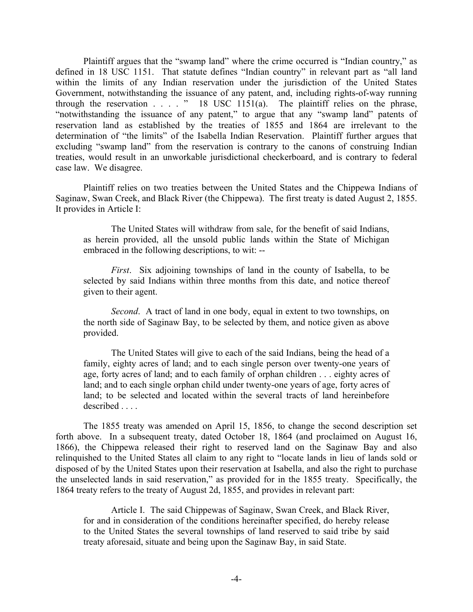Plaintiff argues that the "swamp land" where the crime occurred is "Indian country," as defined in 18 USC 1151. That statute defines "Indian country" in relevant part as "all land within the limits of any Indian reservation under the jurisdiction of the United States Government, notwithstanding the issuance of any patent, and, including rights-of-way running through the reservation  $\ldots$  . . " 18 USC 1151(a). The plaintiff relies on the phrase, "notwithstanding the issuance of any patent," to argue that any "swamp land" patents of reservation land as established by the treaties of 1855 and 1864 are irrelevant to the determination of "the limits" of the Isabella Indian Reservation. Plaintiff further argues that excluding "swamp land" from the reservation is contrary to the canons of construing Indian treaties, would result in an unworkable jurisdictional checkerboard, and is contrary to federal case law. We disagree.

 Plaintiff relies on two treaties between the United States and the Chippewa Indians of Saginaw, Swan Creek, and Black River (the Chippewa). The first treaty is dated August 2, 1855. It provides in Article I:

 The United States will withdraw from sale, for the benefit of said Indians, as herein provided, all the unsold public lands within the State of Michigan embraced in the following descriptions, to wit: --

*First*. Six adjoining townships of land in the county of Isabella, to be selected by said Indians within three months from this date, and notice thereof given to their agent.

*Second*. A tract of land in one body, equal in extent to two townships, on the north side of Saginaw Bay, to be selected by them, and notice given as above provided.

 The United States will give to each of the said Indians, being the head of a family, eighty acres of land; and to each single person over twenty-one years of age, forty acres of land; and to each family of orphan children . . . eighty acres of land; and to each single orphan child under twenty-one years of age, forty acres of land; to be selected and located within the several tracts of land hereinbefore described .

 The 1855 treaty was amended on April 15, 1856, to change the second description set forth above. In a subsequent treaty, dated October 18, 1864 (and proclaimed on August 16, 1866), the Chippewa released their right to reserved land on the Saginaw Bay and also relinquished to the United States all claim to any right to "locate lands in lieu of lands sold or disposed of by the United States upon their reservation at Isabella, and also the right to purchase the unselected lands in said reservation," as provided for in the 1855 treaty. Specifically, the 1864 treaty refers to the treaty of August 2d, 1855, and provides in relevant part:

 Article I. The said Chippewas of Saginaw, Swan Creek, and Black River, for and in consideration of the conditions hereinafter specified, do hereby release to the United States the several townships of land reserved to said tribe by said treaty aforesaid, situate and being upon the Saginaw Bay, in said State.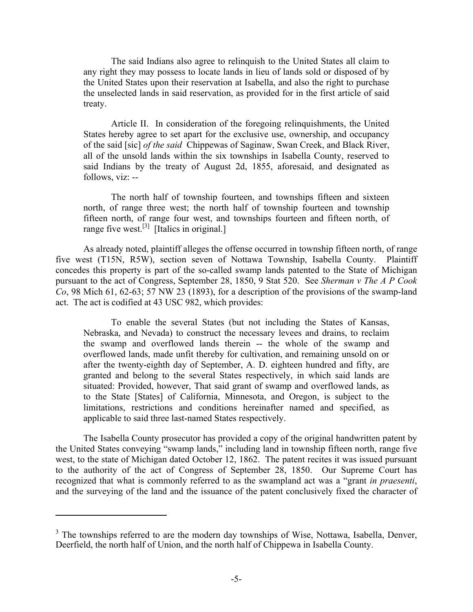The said Indians also agree to relinquish to the United States all claim to any right they may possess to locate lands in lieu of lands sold or disposed of by the United States upon their reservation at Isabella, and also the right to purchase the unselected lands in said reservation, as provided for in the first article of said treaty.

 Article II. In consideration of the foregoing relinquishments, the United States hereby agree to set apart for the exclusive use, ownership, and occupancy of the said [sic] *of the said* Chippewas of Saginaw, Swan Creek, and Black River, all of the unsold lands within the six townships in Isabella County, reserved to said Indians by the treaty of August 2d, 1855, aforesaid, and designated as follows, viz: --

 The north half of township fourteen, and townships fifteen and sixteen north, of range three west; the north half of township fourteen and township fifteen north, of range four west, and townships fourteen and fifteen north, of range five west.<sup>[3]</sup> [Italics in original.]

 As already noted, plaintiff alleges the offense occurred in township fifteen north, of range five west (T15N, R5W), section seven of Nottawa Township, Isabella County. Plaintiff concedes this property is part of the so-called swamp lands patented to the State of Michigan pursuant to the act of Congress, September 28, 1850, 9 Stat 520. See *Sherman v The A P Cook Co*, 98 Mich 61, 62-63; 57 NW 23 (1893), for a description of the provisions of the swamp-land act. The act is codified at 43 USC 982, which provides:

To enable the several States (but not including the States of Kansas, Nebraska, and Nevada) to construct the necessary levees and drains, to reclaim the swamp and overflowed lands therein -- the whole of the swamp and overflowed lands, made unfit thereby for cultivation, and remaining unsold on or after the twenty-eighth day of September, A. D. eighteen hundred and fifty, are granted and belong to the several States respectively, in which said lands are situated: Provided, however, That said grant of swamp and overflowed lands, as to the State [States] of California, Minnesota, and Oregon, is subject to the limitations, restrictions and conditions hereinafter named and specified, as applicable to said three last-named States respectively.

 The Isabella County prosecutor has provided a copy of the original handwritten patent by the United States conveying "swamp lands," including land in township fifteen north, range five west, to the state of Michigan dated October 12, 1862. The patent recites it was issued pursuant to the authority of the act of Congress of September 28, 1850. Our Supreme Court has recognized that what is commonly referred to as the swampland act was a "grant *in praesenti*, and the surveying of the land and the issuance of the patent conclusively fixed the character of

 $\overline{a}$ 

 $3$  The townships referred to are the modern day townships of Wise, Nottawa, Isabella, Denver, Deerfield, the north half of Union, and the north half of Chippewa in Isabella County.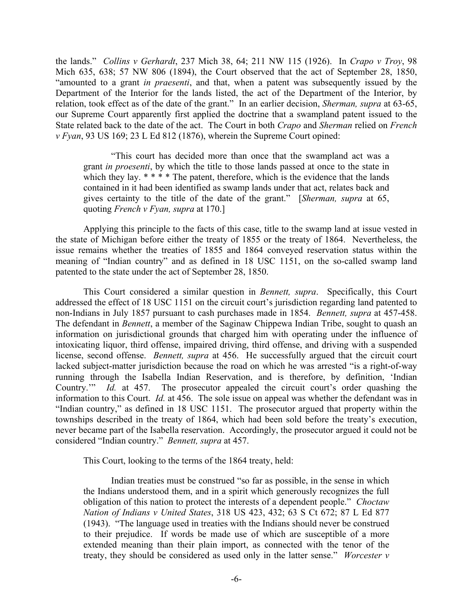the lands." *Collins v Gerhardt*, 237 Mich 38, 64; 211 NW 115 (1926). In *Crapo v Troy*, 98 Mich 635, 638; 57 NW 806 (1894), the Court observed that the act of September 28, 1850, "amounted to a grant *in praesenti*, and that, when a patent was subsequently issued by the Department of the Interior for the lands listed, the act of the Department of the Interior, by relation, took effect as of the date of the grant." In an earlier decision, *Sherman, supra* at 63-65, our Supreme Court apparently first applied the doctrine that a swampland patent issued to the State related back to the date of the act. The Court in both *Crapo* and *Sherman* relied on *French v Fyan*, 93 US 169; 23 L Ed 812 (1876), wherein the Supreme Court opined:

 "This court has decided more than once that the swampland act was a grant *in proesenti*, by which the title to those lands passed at once to the state in which they lay.  $****$  The patent, therefore, which is the evidence that the lands contained in it had been identified as swamp lands under that act, relates back and gives certainty to the title of the date of the grant." [*Sherman, supra* at 65, quoting *French v Fyan, supra* at 170.]

 Applying this principle to the facts of this case, title to the swamp land at issue vested in the state of Michigan before either the treaty of 1855 or the treaty of 1864. Nevertheless, the issue remains whether the treaties of 1855 and 1864 conveyed reservation status within the meaning of "Indian country" and as defined in 18 USC 1151, on the so-called swamp land patented to the state under the act of September 28, 1850.

 This Court considered a similar question in *Bennett, supra*. Specifically, this Court addressed the effect of 18 USC 1151 on the circuit court's jurisdiction regarding land patented to non-Indians in July 1857 pursuant to cash purchases made in 1854. *Bennett, supra* at 457-458. The defendant in *Bennett*, a member of the Saginaw Chippewa Indian Tribe, sought to quash an information on jurisdictional grounds that charged him with operating under the influence of intoxicating liquor, third offense, impaired driving, third offense, and driving with a suspended license, second offense. *Bennett, supra* at 456. He successfully argued that the circuit court lacked subject-matter jurisdiction because the road on which he was arrested "is a right-of-way running through the Isabella Indian Reservation, and is therefore, by definition, 'Indian Country.'" *Id.* at 457. The prosecutor appealed the circuit court's order quashing the information to this Court. *Id.* at 456. The sole issue on appeal was whether the defendant was in "Indian country," as defined in 18 USC 1151. The prosecutor argued that property within the townships described in the treaty of 1864, which had been sold before the treaty's execution, never became part of the Isabella reservation. Accordingly, the prosecutor argued it could not be considered "Indian country." *Bennett, supra* at 457.

This Court, looking to the terms of the 1864 treaty, held:

 Indian treaties must be construed "so far as possible, in the sense in which the Indians understood them, and in a spirit which generously recognizes the full obligation of this nation to protect the interests of a dependent people." *Choctaw Nation of Indians v United States*, 318 US 423, 432; 63 S Ct 672; 87 L Ed 877 (1943). "The language used in treaties with the Indians should never be construed to their prejudice. If words be made use of which are susceptible of a more extended meaning than their plain import, as connected with the tenor of the treaty, they should be considered as used only in the latter sense." *Worcester v*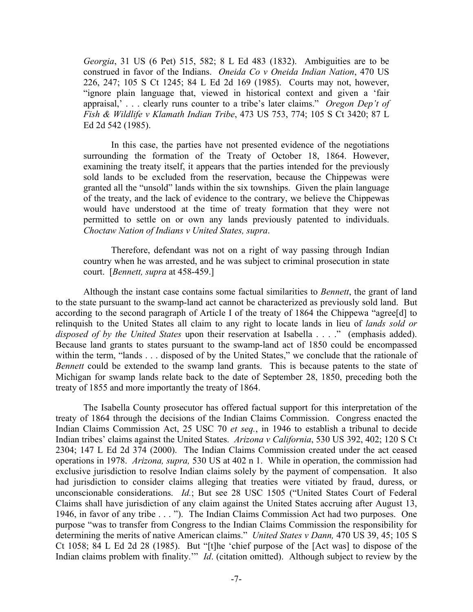*Georgia*, 31 US (6 Pet) 515, 582; 8 L Ed 483 (1832). Ambiguities are to be construed in favor of the Indians. *Oneida Co v Oneida Indian Nation*, 470 US 226, 247; 105 S Ct 1245; 84 L Ed 2d 169 (1985). Courts may not, however, "ignore plain language that, viewed in historical context and given a 'fair appraisal,' . . . clearly runs counter to a tribe's later claims." *Oregon Dep't of Fish & Wildlife v Klamath Indian Tribe*, 473 US 753, 774; 105 S Ct 3420; 87 L Ed 2d 542 (1985).

 In this case, the parties have not presented evidence of the negotiations surrounding the formation of the Treaty of October 18, 1864. However, examining the treaty itself, it appears that the parties intended for the previously sold lands to be excluded from the reservation, because the Chippewas were granted all the "unsold" lands within the six townships. Given the plain language of the treaty, and the lack of evidence to the contrary, we believe the Chippewas would have understood at the time of treaty formation that they were not permitted to settle on or own any lands previously patented to individuals. *Choctaw Nation of Indians v United States, supra*.

 Therefore, defendant was not on a right of way passing through Indian country when he was arrested, and he was subject to criminal prosecution in state court. [*Bennett, supra* at 458-459.]

 Although the instant case contains some factual similarities to *Bennett*, the grant of land to the state pursuant to the swamp-land act cannot be characterized as previously sold land. But according to the second paragraph of Article I of the treaty of 1864 the Chippewa "agree[d] to relinquish to the United States all claim to any right to locate lands in lieu of *lands sold or disposed of by the United States* upon their reservation at Isabella . . . ." (emphasis added). Because land grants to states pursuant to the swamp-land act of 1850 could be encompassed within the term, "lands . . . disposed of by the United States," we conclude that the rationale of *Bennett* could be extended to the swamp land grants. This is because patents to the state of Michigan for swamp lands relate back to the date of September 28, 1850, preceding both the treaty of 1855 and more importantly the treaty of 1864.

 The Isabella County prosecutor has offered factual support for this interpretation of the treaty of 1864 through the decisions of the Indian Claims Commission. Congress enacted the Indian Claims Commission Act, 25 USC 70 *et seq.*, in 1946 to establish a tribunal to decide Indian tribes' claims against the United States. *Arizona v California*, 530 US 392, 402; 120 S Ct 2304; 147 L Ed 2d 374 (2000). The Indian Claims Commission created under the act ceased operations in 1978. *Arizona, supra,* 530 US at 402 n 1. While in operation, the commission had exclusive jurisdiction to resolve Indian claims solely by the payment of compensation. It also had jurisdiction to consider claims alleging that treaties were vitiated by fraud, duress, or unconscionable considerations. *Id.*; But see 28 USC 1505 ("United States Court of Federal Claims shall have jurisdiction of any claim against the United States accruing after August 13, 1946, in favor of any tribe . . . "). The Indian Claims Commission Act had two purposes. One purpose "was to transfer from Congress to the Indian Claims Commission the responsibility for determining the merits of native American claims." *United States v Dann,* 470 US 39, 45; 105 S Ct 1058; 84 L Ed 2d 28 (1985). But "[t]he 'chief purpose of the [Act was] to dispose of the Indian claims problem with finality.'" *Id*. (citation omitted). Although subject to review by the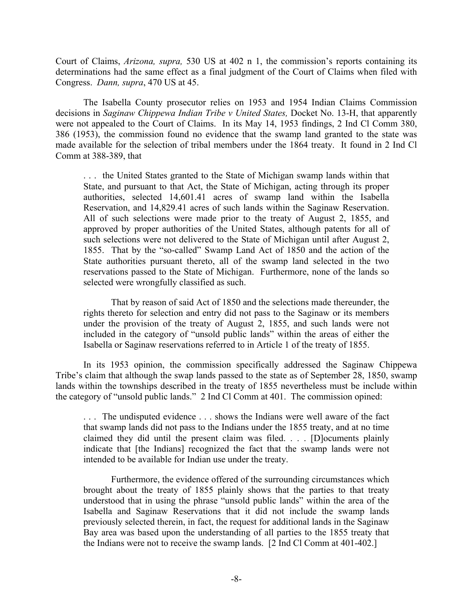Court of Claims, *Arizona, supra,* 530 US at 402 n 1, the commission's reports containing its determinations had the same effect as a final judgment of the Court of Claims when filed with Congress. *Dann, supra*, 470 US at 45.

 The Isabella County prosecutor relies on 1953 and 1954 Indian Claims Commission decisions in *Saginaw Chippewa Indian Tribe v United States,* Docket No. 13-H, that apparently were not appealed to the Court of Claims. In its May 14, 1953 findings, 2 Ind Cl Comm 380, 386 (1953), the commission found no evidence that the swamp land granted to the state was made available for the selection of tribal members under the 1864 treaty. It found in 2 Ind Cl Comm at 388-389, that

. . . the United States granted to the State of Michigan swamp lands within that State, and pursuant to that Act, the State of Michigan, acting through its proper authorities, selected 14,601.41 acres of swamp land within the Isabella Reservation, and 14,829.41 acres of such lands within the Saginaw Reservation. All of such selections were made prior to the treaty of August 2, 1855, and approved by proper authorities of the United States, although patents for all of such selections were not delivered to the State of Michigan until after August 2, 1855. That by the "so-called" Swamp Land Act of 1850 and the action of the State authorities pursuant thereto, all of the swamp land selected in the two reservations passed to the State of Michigan. Furthermore, none of the lands so selected were wrongfully classified as such.

 That by reason of said Act of 1850 and the selections made thereunder, the rights thereto for selection and entry did not pass to the Saginaw or its members under the provision of the treaty of August 2, 1855, and such lands were not included in the category of "unsold public lands" within the areas of either the Isabella or Saginaw reservations referred to in Article 1 of the treaty of 1855.

 In its 1953 opinion, the commission specifically addressed the Saginaw Chippewa Tribe's claim that although the swap lands passed to the state as of September 28, 1850, swamp lands within the townships described in the treaty of 1855 nevertheless must be include within the category of "unsold public lands." 2 Ind Cl Comm at 401. The commission opined:

. . . The undisputed evidence . . . shows the Indians were well aware of the fact that swamp lands did not pass to the Indians under the 1855 treaty, and at no time claimed they did until the present claim was filed. . . . [D]ocuments plainly indicate that [the Indians] recognized the fact that the swamp lands were not intended to be available for Indian use under the treaty.

 Furthermore, the evidence offered of the surrounding circumstances which brought about the treaty of 1855 plainly shows that the parties to that treaty understood that in using the phrase "unsold public lands" within the area of the Isabella and Saginaw Reservations that it did not include the swamp lands previously selected therein, in fact, the request for additional lands in the Saginaw Bay area was based upon the understanding of all parties to the 1855 treaty that the Indians were not to receive the swamp lands. [2 Ind Cl Comm at 401-402.]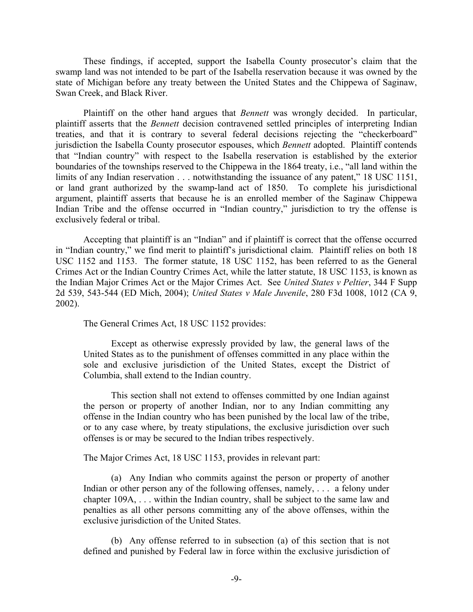These findings, if accepted, support the Isabella County prosecutor's claim that the swamp land was not intended to be part of the Isabella reservation because it was owned by the state of Michigan before any treaty between the United States and the Chippewa of Saginaw, Swan Creek, and Black River.

 Plaintiff on the other hand argues that *Bennett* was wrongly decided. In particular, plaintiff asserts that the *Bennett* decision contravened settled principles of interpreting Indian treaties, and that it is contrary to several federal decisions rejecting the "checkerboard" jurisdiction the Isabella County prosecutor espouses, which *Bennett* adopted. Plaintiff contends that "Indian country" with respect to the Isabella reservation is established by the exterior boundaries of the townships reserved to the Chippewa in the 1864 treaty, i.e., "all land within the limits of any Indian reservation . . . notwithstanding the issuance of any patent," 18 USC 1151, or land grant authorized by the swamp-land act of 1850. To complete his jurisdictional argument, plaintiff asserts that because he is an enrolled member of the Saginaw Chippewa Indian Tribe and the offense occurred in "Indian country," jurisdiction to try the offense is exclusively federal or tribal.

 Accepting that plaintiff is an "Indian" and if plaintiff is correct that the offense occurred in "Indian country," we find merit to plaintiff's jurisdictional claim. Plaintiff relies on both 18 USC 1152 and 1153. The former statute, 18 USC 1152, has been referred to as the General Crimes Act or the Indian Country Crimes Act, while the latter statute, 18 USC 1153, is known as the Indian Major Crimes Act or the Major Crimes Act. See *United States v Peltier*, 344 F Supp 2d 539, 543-544 (ED Mich, 2004); *United States v Male Juvenile*, 280 F3d 1008, 1012 (CA 9, 2002).

The General Crimes Act, 18 USC 1152 provides:

 Except as otherwise expressly provided by law, the general laws of the United States as to the punishment of offenses committed in any place within the sole and exclusive jurisdiction of the United States, except the District of Columbia, shall extend to the Indian country.

 This section shall not extend to offenses committed by one Indian against the person or property of another Indian, nor to any Indian committing any offense in the Indian country who has been punished by the local law of the tribe, or to any case where, by treaty stipulations, the exclusive jurisdiction over such offenses is or may be secured to the Indian tribes respectively.

The Major Crimes Act, 18 USC 1153, provides in relevant part:

(a) Any Indian who commits against the person or property of another Indian or other person any of the following offenses, namely, . . . a felony under chapter 109A, . . . within the Indian country, shall be subject to the same law and penalties as all other persons committing any of the above offenses, within the exclusive jurisdiction of the United States.

 (b) Any offense referred to in subsection (a) of this section that is not defined and punished by Federal law in force within the exclusive jurisdiction of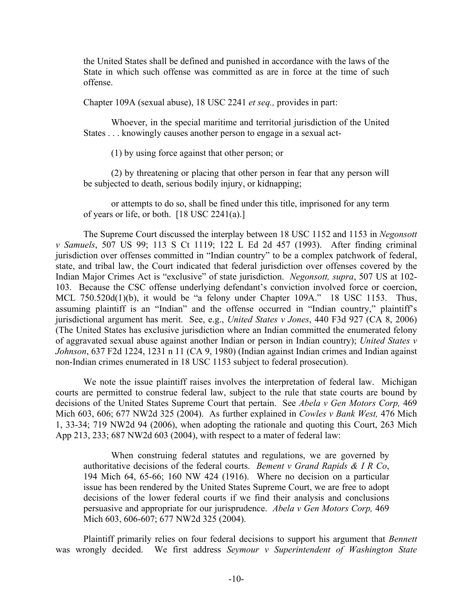the United States shall be defined and punished in accordance with the laws of the State in which such offense was committed as are in force at the time of such offense.

Chapter 109A (sexual abuse), 18 USC 2241 *et seq.,* provides in part:

 Whoever, in the special maritime and territorial jurisdiction of the United States . . . knowingly causes another person to engage in a sexual act-

(1) by using force against that other person; or

 (2) by threatening or placing that other person in fear that any person will be subjected to death, serious bodily injury, or kidnapping;

 or attempts to do so, shall be fined under this title, imprisoned for any term of years or life, or both. [18 USC 2241(a).]

 The Supreme Court discussed the interplay between 18 USC 1152 and 1153 in *Negonsott v Samuels*, 507 US 99; 113 S Ct 1119; 122 L Ed 2d 457 (1993). After finding criminal jurisdiction over offenses committed in "Indian country" to be a complex patchwork of federal, state, and tribal law, the Court indicated that federal jurisdiction over offenses covered by the Indian Major Crimes Act is "exclusive" of state jurisdiction. *Negonsott, supra*, 507 US at 102- 103. Because the CSC offense underlying defendant's conviction involved force or coercion, MCL 750.520d(1)(b), it would be "a felony under Chapter 109A." 18 USC 1153. Thus, assuming plaintiff is an "Indian" and the offense occurred in "Indian country," plaintiff's jurisdictional argument has merit. See, e.g., *United States v Jones*, 440 F3d 927 (CA 8, 2006) (The United States has exclusive jurisdiction where an Indian committed the enumerated felony of aggravated sexual abuse against another Indian or person in Indian country); *United States v Johnson*, 637 F2d 1224, 1231 n 11 (CA 9, 1980) (Indian against Indian crimes and Indian against non-Indian crimes enumerated in 18 USC 1153 subject to federal prosecution).

 We note the issue plaintiff raises involves the interpretation of federal law. Michigan courts are permitted to construe federal law, subject to the rule that state courts are bound by decisions of the United States Supreme Court that pertain. See *Abela v Gen Motors Corp,* 469 Mich 603, 606; 677 NW2d 325 (2004). As further explained in *Cowles v Bank West,* 476 Mich 1, 33-34; 719 NW2d 94 (2006), when adopting the rationale and quoting this Court, 263 Mich App 213, 233; 687 NW2d 603 (2004), with respect to a mater of federal law:

When construing federal statutes and regulations, we are governed by authoritative decisions of the federal courts. *Bement v Grand Rapids & I R Co*, 194 Mich 64, 65-66; 160 NW 424 (1916). Where no decision on a particular issue has been rendered by the United States Supreme Court, we are free to adopt decisions of the lower federal courts if we find their analysis and conclusions persuasive and appropriate for our jurisprudence. *Abela v Gen Motors Corp,* 469 Mich 603, 606-607; 677 NW2d 325 (2004).

 Plaintiff primarily relies on four federal decisions to support his argument that *Bennett* was wrongly decided. We first address *Seymour v Superintendent of Washington State*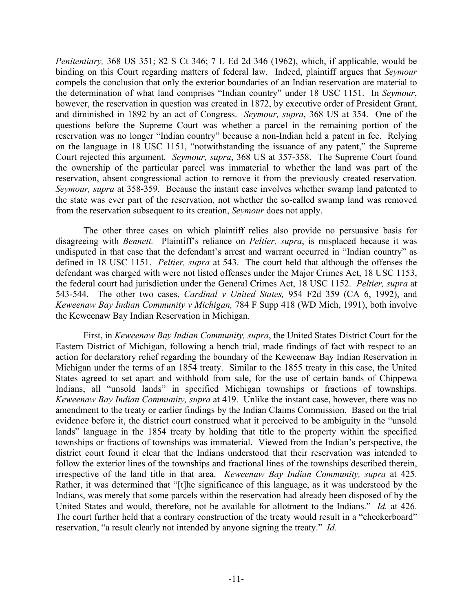*Penitentiary,* 368 US 351; 82 S Ct 346; 7 L Ed 2d 346 (1962), which, if applicable, would be binding on this Court regarding matters of federal law. Indeed, plaintiff argues that *Seymour* compels the conclusion that only the exterior boundaries of an Indian reservation are material to the determination of what land comprises "Indian country" under 18 USC 1151. In *Seymour*, however, the reservation in question was created in 1872, by executive order of President Grant, and diminished in 1892 by an act of Congress. *Seymour, supra*, 368 US at 354. One of the questions before the Supreme Court was whether a parcel in the remaining portion of the reservation was no longer "Indian country" because a non-Indian held a patent in fee. Relying on the language in 18 USC 1151, "notwithstanding the issuance of any patent," the Supreme Court rejected this argument. *Seymour, supra*, 368 US at 357-358. The Supreme Court found the ownership of the particular parcel was immaterial to whether the land was part of the reservation, absent congressional action to remove it from the previously created reservation. *Seymour, supra* at 358-359. Because the instant case involves whether swamp land patented to the state was ever part of the reservation, not whether the so-called swamp land was removed from the reservation subsequent to its creation, *Seymour* does not apply.

 The other three cases on which plaintiff relies also provide no persuasive basis for disagreeing with *Bennett.* Plaintiff's reliance on *Peltier, supra*, is misplaced because it was undisputed in that case that the defendant's arrest and warrant occurred in "Indian country" as defined in 18 USC 1151. *Peltier, supra* at 543. The court held that although the offenses the defendant was charged with were not listed offenses under the Major Crimes Act, 18 USC 1153, the federal court had jurisdiction under the General Crimes Act, 18 USC 1152. *Peltier, supra* at 543-544. The other two cases, *Cardinal v United States,* 954 F2d 359 (CA 6, 1992), and *Keweenaw Bay Indian Community v Michigan,* 784 F Supp 418 (WD Mich, 1991), both involve the Keweenaw Bay Indian Reservation in Michigan.

 First, in *Keweenaw Bay Indian Community, supra*, the United States District Court for the Eastern District of Michigan, following a bench trial, made findings of fact with respect to an action for declaratory relief regarding the boundary of the Keweenaw Bay Indian Reservation in Michigan under the terms of an 1854 treaty. Similar to the 1855 treaty in this case, the United States agreed to set apart and withhold from sale, for the use of certain bands of Chippewa Indians, all "unsold lands" in specified Michigan townships or fractions of townships. *Keweenaw Bay Indian Community, supra* at 419. Unlike the instant case, however, there was no amendment to the treaty or earlier findings by the Indian Claims Commission. Based on the trial evidence before it, the district court construed what it perceived to be ambiguity in the "unsold lands" language in the 1854 treaty by holding that title to the property within the specified townships or fractions of townships was immaterial. Viewed from the Indian's perspective, the district court found it clear that the Indians understood that their reservation was intended to follow the exterior lines of the townships and fractional lines of the townships described therein, irrespective of the land title in that area. *Keweenaw Bay Indian Community, supra* at 425. Rather, it was determined that "[t]he significance of this language, as it was understood by the Indians, was merely that some parcels within the reservation had already been disposed of by the United States and would, therefore, not be available for allotment to the Indians." *Id.* at 426. The court further held that a contrary construction of the treaty would result in a "checkerboard" reservation, "a result clearly not intended by anyone signing the treaty." *Id.*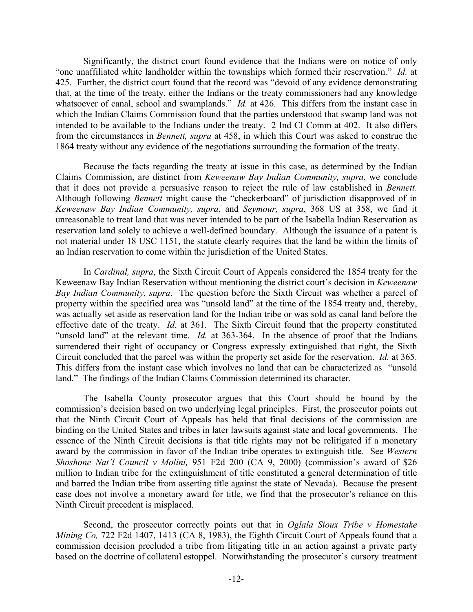Significantly, the district court found evidence that the Indians were on notice of only "one unaffiliated white landholder within the townships which formed their reservation." *Id.* at 425. Further, the district court found that the record was "devoid of any evidence demonstrating that, at the time of the treaty, either the Indians or the treaty commissioners had any knowledge whatsoever of canal, school and swamplands." *Id.* at 426. This differs from the instant case in which the Indian Claims Commission found that the parties understood that swamp land was not intended to be available to the Indians under the treaty. 2 Ind Cl Comm at 402. It also differs from the circumstances in *Bennett, supra* at 458, in which this Court was asked to construe the 1864 treaty without any evidence of the negotiations surrounding the formation of the treaty.

 Because the facts regarding the treaty at issue in this case, as determined by the Indian Claims Commission, are distinct from *Keweenaw Bay Indian Community, supra*, we conclude that it does not provide a persuasive reason to reject the rule of law established in *Bennett*. Although following *Bennett* might cause the "checkerboard" of jurisdiction disapproved of in *Keweenaw Bay Indian Community, supra*, and *Seymour, supra*, 368 US at 358, we find it unreasonable to treat land that was never intended to be part of the Isabella Indian Reservation as reservation land solely to achieve a well-defined boundary. Although the issuance of a patent is not material under 18 USC 1151, the statute clearly requires that the land be within the limits of an Indian reservation to come within the jurisdiction of the United States.

 In *Cardinal, supra*, the Sixth Circuit Court of Appeals considered the 1854 treaty for the Keweenaw Bay Indian Reservation without mentioning the district court's decision in *Keweenaw Bay Indian Community, supra*. The question before the Sixth Circuit was whether a parcel of property within the specified area was "unsold land" at the time of the 1854 treaty and, thereby, was actually set aside as reservation land for the Indian tribe or was sold as canal land before the effective date of the treaty. *Id.* at 361. The Sixth Circuit found that the property constituted "unsold land" at the relevant time. *Id.* at 363-364. In the absence of proof that the Indians surrendered their right of occupancy or Congress expressly extinguished that right, the Sixth Circuit concluded that the parcel was within the property set aside for the reservation. *Id.* at 365. This differs from the instant case which involves no land that can be characterized as "unsold land." The findings of the Indian Claims Commission determined its character.

 The Isabella County prosecutor argues that this Court should be bound by the commission's decision based on two underlying legal principles. First, the prosecutor points out that the Ninth Circuit Court of Appeals has held that final decisions of the commission are binding on the United States and tribes in later lawsuits against state and local governments. The essence of the Ninth Circuit decisions is that title rights may not be relitigated if a monetary award by the commission in favor of the Indian tribe operates to extinguish title. See *Western Shoshone Nat'l Council v Molini,* 951 F2d 200 (CA 9, 2000) (commission's award of \$26 million to Indian tribe for the extinguishment of title constituted a general determination of title and barred the Indian tribe from asserting title against the state of Nevada). Because the present case does not involve a monetary award for title, we find that the prosecutor's reliance on this Ninth Circuit precedent is misplaced.

 Second, the prosecutor correctly points out that in *Oglala Sioux Tribe v Homestake Mining Co, 722 F2d 1407, 1413 (CA 8, 1983), the Eighth Circuit Court of Appeals found that a* commission decision precluded a tribe from litigating title in an action against a private party based on the doctrine of collateral estoppel. Notwithstanding the prosecutor's cursory treatment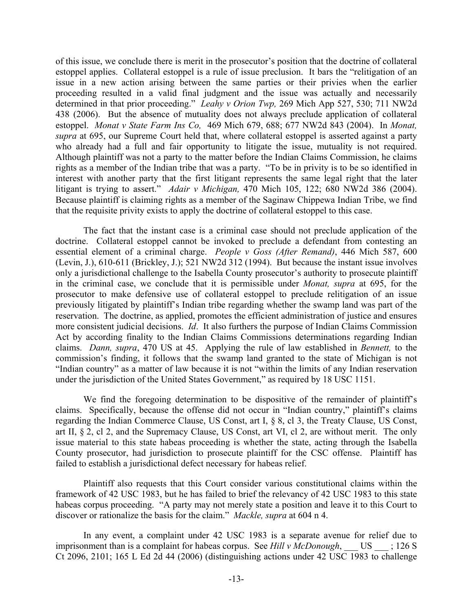of this issue, we conclude there is merit in the prosecutor's position that the doctrine of collateral estoppel applies. Collateral estoppel is a rule of issue preclusion. It bars the "relitigation of an issue in a new action arising between the same parties or their privies when the earlier proceeding resulted in a valid final judgment and the issue was actually and necessarily determined in that prior proceeding." *Leahy v Orion Twp,* 269 Mich App 527, 530; 711 NW2d 438 (2006). But the absence of mutuality does not always preclude application of collateral estoppel. *Monat v State Farm Ins Co,* 469 Mich 679, 688; 677 NW2d 843 (2004). In *Monat, supra* at 695, our Supreme Court held that, where collateral estoppel is asserted against a party who already had a full and fair opportunity to litigate the issue, mutuality is not required. Although plaintiff was not a party to the matter before the Indian Claims Commission, he claims rights as a member of the Indian tribe that was a party. "To be in privity is to be so identified in interest with another party that the first litigant represents the same legal right that the later litigant is trying to assert." *Adair v Michigan,* 470 Mich 105, 122; 680 NW2d 386 (2004). Because plaintiff is claiming rights as a member of the Saginaw Chippewa Indian Tribe, we find that the requisite privity exists to apply the doctrine of collateral estoppel to this case.

 The fact that the instant case is a criminal case should not preclude application of the doctrine. Collateral estoppel cannot be invoked to preclude a defendant from contesting an essential element of a criminal charge. *People v Goss (After Remand)*, 446 Mich 587, 600 (Levin, J.), 610-611 (Brickley, J.); 521 NW2d 312 (1994). But because the instant issue involves only a jurisdictional challenge to the Isabella County prosecutor's authority to prosecute plaintiff in the criminal case, we conclude that it is permissible under *Monat, supra* at 695, for the prosecutor to make defensive use of collateral estoppel to preclude relitigation of an issue previously litigated by plaintiff's Indian tribe regarding whether the swamp land was part of the reservation. The doctrine, as applied, promotes the efficient administration of justice and ensures more consistent judicial decisions. *Id*. It also furthers the purpose of Indian Claims Commission Act by according finality to the Indian Claims Commissions determinations regarding Indian claims. *Dann, supra*, 470 US at 45. Applying the rule of law established in *Bennett,* to the commission's finding, it follows that the swamp land granted to the state of Michigan is not "Indian country" as a matter of law because it is not "within the limits of any Indian reservation under the jurisdiction of the United States Government," as required by 18 USC 1151.

 We find the foregoing determination to be dispositive of the remainder of plaintiff's claims. Specifically, because the offense did not occur in "Indian country," plaintiff's claims regarding the Indian Commerce Clause, US Const, art I, § 8, cl 3, the Treaty Clause, US Const, art II, § 2, cl 2, and the Supremacy Clause, US Const, art VI, cl 2, are without merit. The only issue material to this state habeas proceeding is whether the state, acting through the Isabella County prosecutor, had jurisdiction to prosecute plaintiff for the CSC offense. Plaintiff has failed to establish a jurisdictional defect necessary for habeas relief.

 Plaintiff also requests that this Court consider various constitutional claims within the framework of 42 USC 1983, but he has failed to brief the relevancy of 42 USC 1983 to this state habeas corpus proceeding. "A party may not merely state a position and leave it to this Court to discover or rationalize the basis for the claim." *Mackle, supra* at 604 n 4.

 In any event, a complaint under 42 USC 1983 is a separate avenue for relief due to imprisonment than is a complaint for habeas corpus. See *Hill v McDonough*, US : 126 S Ct 2096, 2101; 165 L Ed 2d 44 (2006) (distinguishing actions under 42 USC 1983 to challenge